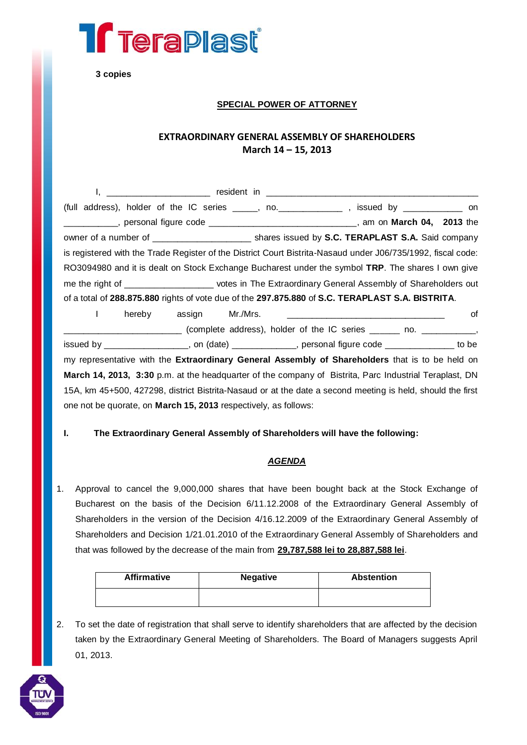

**3 copies**

## **SPECIAL POWER OF ATTORNEY**

# **EXTRAORDINARY GENERAL ASSEMBLY OF SHAREHOLDERS March 14 – 15, 2013**

| (full address), holder of the IC series $\frac{1}{1}$ no. $\frac{1}{1}$ no.                                                                                                                                                                                                                                                        |  |  | issued by $\frac{1}{2}$ on |    |
|------------------------------------------------------------------------------------------------------------------------------------------------------------------------------------------------------------------------------------------------------------------------------------------------------------------------------------|--|--|----------------------------|----|
| ____________, personal figure code ______________________________, am on March 04, 2013 the                                                                                                                                                                                                                                        |  |  |                            |    |
| owner of a number of _______________________ shares issued by S.C. TERAPLAST S.A. Said company                                                                                                                                                                                                                                     |  |  |                            |    |
| is registered with the Trade Register of the District Court Bistrita-Nasaud under J06/735/1992, fiscal code:                                                                                                                                                                                                                       |  |  |                            |    |
| RO3094980 and it is dealt on Stock Exchange Bucharest under the symbol TRP. The shares I own give                                                                                                                                                                                                                                  |  |  |                            |    |
| me the right of _____________________ votes in The Extraordinary General Assembly of Shareholders out                                                                                                                                                                                                                              |  |  |                            |    |
| of a total of 288.875.880 rights of vote due of the 297.875.880 of S.C. TERAPLAST S.A. BISTRITA.                                                                                                                                                                                                                                   |  |  |                            |    |
| $\mathbf{A}$ $\mathbf{A}$ $\mathbf{A}$ $\mathbf{A}$ $\mathbf{A}$ $\mathbf{A}$ $\mathbf{A}$ $\mathbf{A}$ $\mathbf{A}$ $\mathbf{A}$ $\mathbf{A}$ $\mathbf{A}$ $\mathbf{A}$ $\mathbf{A}$ $\mathbf{A}$ $\mathbf{A}$ $\mathbf{A}$ $\mathbf{A}$ $\mathbf{A}$ $\mathbf{A}$ $\mathbf{A}$ $\mathbf{A}$ $\mathbf{A}$ $\mathbf{A}$ $\mathbf{$ |  |  |                            | -4 |

I hereby assign Mr./Mrs. \_\_\_\_\_\_\_\_\_\_\_\_\_\_\_\_\_\_\_\_\_\_\_\_\_\_\_\_\_\_\_\_ of \_\_\_\_\_\_\_\_\_\_\_\_\_\_\_\_\_\_\_\_\_\_\_\_ (complete address), holder of the IC series \_\_\_\_\_\_ no. \_\_\_\_\_\_\_\_\_\_\_, issued by \_\_\_\_\_\_\_\_\_\_\_\_\_\_\_\_\_, on (date) \_\_\_\_\_\_\_\_\_\_\_\_\_, personal figure code \_\_\_\_\_\_\_\_\_\_\_\_\_\_ to be my representative with the **Extraordinary General Assembly of Shareholders** that is to be held on **March 14, 2013, 3:30** p.m. at the headquarter of the company of Bistrita, Parc Industrial Teraplast, DN 15A, km 45+500, 427298, district Bistrita-Nasaud or at the date a second meeting is held, should the first one not be quorate, on **March 15, 2013** respectively, as follows:

### **I. The Extraordinary General Assembly of Shareholders will have the following:**

### *AGENDA*

1. Approval to cancel the 9,000,000 shares that have been bought back at the Stock Exchange of Bucharest on the basis of the Decision 6/11.12.2008 of the Extraordinary General Assembly of Shareholders in the version of the Decision 4/16.12.2009 of the Extraordinary General Assembly of Shareholders and Decision 1/21.01.2010 of the Extraordinary General Assembly of Shareholders and that was followed by the decrease of the main from **29,787,588 lei to 28,887,588 lei**.

| <b>Affirmative</b> | <b>Negative</b> | <b>Abstention</b> |  |  |
|--------------------|-----------------|-------------------|--|--|
|                    |                 |                   |  |  |

2. To set the date of registration that shall serve to identify shareholders that are affected by the decision taken by the Extraordinary General Meeting of Shareholders. The Board of Managers suggests April 01, 2013.

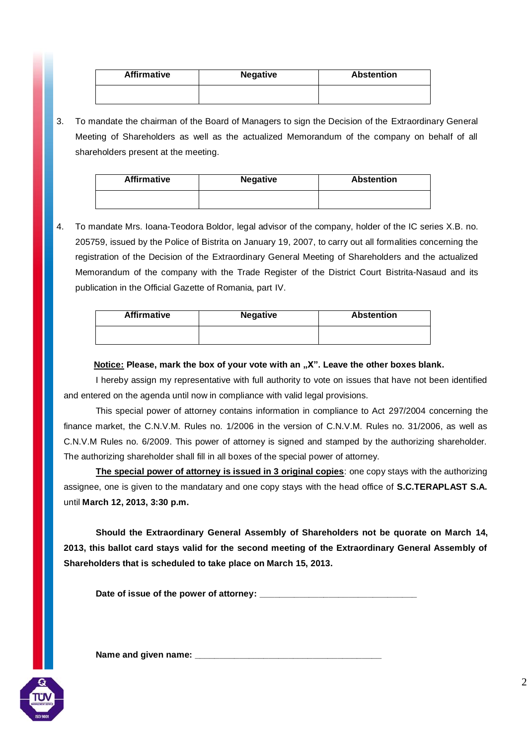| <b>Affirmative</b> | <b>Negative</b> | <b>Abstention</b> |  |  |
|--------------------|-----------------|-------------------|--|--|
|                    |                 |                   |  |  |

3. To mandate the chairman of the Board of Managers to sign the Decision of the Extraordinary General Meeting of Shareholders as well as the actualized Memorandum of the company on behalf of all shareholders present at the meeting.

| <b>Affirmative</b> | <b>Negative</b> | <b>Abstention</b> |  |  |
|--------------------|-----------------|-------------------|--|--|
|                    |                 |                   |  |  |

4. To mandate Mrs. Ioana-Teodora Boldor, legal advisor of the company, holder of the IC series X.B. no. 205759, issued by the Police of Bistrita on January 19, 2007, to carry out all formalities concerning the registration of the Decision of the Extraordinary General Meeting of Shareholders and the actualized Memorandum of the company with the Trade Register of the District Court Bistrita-Nasaud and its publication in the Official Gazette of Romania, part IV.

| <b>Affirmative</b> | <b>Negative</b> | <b>Abstention</b> |  |  |
|--------------------|-----------------|-------------------|--|--|
|                    |                 |                   |  |  |

## **Notice: Please, mark the box of your vote with an "X". Leave the other boxes blank.**

I hereby assign my representative with full authority to vote on issues that have not been identified and entered on the agenda until now in compliance with valid legal provisions.

This special power of attorney contains information in compliance to Act 297/2004 concerning the finance market, the C.N.V.M. Rules no. 1/2006 in the version of C.N.V.M. Rules no. 31/2006, as well as C.N.V.M Rules no. 6/2009. This power of attorney is signed and stamped by the authorizing shareholder. The authorizing shareholder shall fill in all boxes of the special power of attorney.

**The special power of attorney is issued in 3 original copies**: one copy stays with the authorizing assignee, one is given to the mandatary and one copy stays with the head office of **S.C.TERAPLAST S.A.**  until **March 12, 2013, 3:30 p.m.**

**Should the Extraordinary General Assembly of Shareholders not be quorate on March 14, 2013, this ballot card stays valid for the second meeting of the Extraordinary General Assembly of Shareholders that is scheduled to take place on March 15, 2013.**

Date of issue of the power of attorney: \_\_

Name and given name: